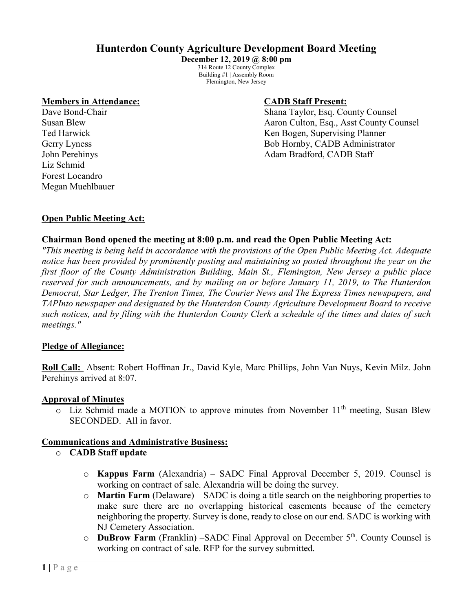# **Hunterdon County Agriculture Development Board Meeting**

**December 12, 2019 @ 8:00 pm** 314 Route 12 County Complex Building #1 | Assembly Room Flemington, New Jersey

#### **Members in Attendance: CADB Staff Present:**

Liz Schmid Forest Locandro Megan Muehlbauer

Dave Bond-Chair **Shana Taylor, Esq. County Counsel** Susan Blew Aaron Culton, Esq., Asst County Counsel Ted Harwick **Ted Harmick** Company Research Manuscript Ren Bogen, Supervising Planner Gerry Lyness Bob Hornby, CADB Administrator John Perehinys Adam Bradford, CADB Staff

## **Open Public Meeting Act:**

## **Chairman Bond opened the meeting at 8:00 p.m. and read the Open Public Meeting Act:**

*"This meeting is being held in accordance with the provisions of the Open Public Meeting Act. Adequate notice has been provided by prominently posting and maintaining so posted throughout the year on the first floor of the County Administration Building, Main St., Flemington, New Jersey a public place reserved for such announcements, and by mailing on or before January 11, 2019, to The Hunterdon Democrat, Star Ledger, The Trenton Times, The Courier News and The Express Times newspapers, and TAPInto newspaper and designated by the Hunterdon County Agriculture Development Board to receive such notices, and by filing with the Hunterdon County Clerk a schedule of the times and dates of such meetings."*

#### **Pledge of Allegiance:**

**Roll Call:** Absent: Robert Hoffman Jr., David Kyle, Marc Phillips, John Van Nuys, Kevin Milz. John Perehinys arrived at 8:07.

#### **Approval of Minutes**

 $\circ$  Liz Schmid made a MOTION to approve minutes from November 11<sup>th</sup> meeting, Susan Blew SECONDED. All in favor.

#### **Communications and Administrative Business:**

- o **CADB Staff update**
	- o **Kappus Farm** (Alexandria) SADC Final Approval December 5, 2019. Counsel is working on contract of sale. Alexandria will be doing the survey.
	- o **Martin Farm** (Delaware) SADC is doing a title search on the neighboring properties to make sure there are no overlapping historical easements because of the cemetery neighboring the property. Survey is done, ready to close on our end. SADC is working with NJ Cemetery Association.
	- o **DuBrow Farm** (Franklin) –SADC Final Approval on December 5th. County Counsel is working on contract of sale. RFP for the survey submitted.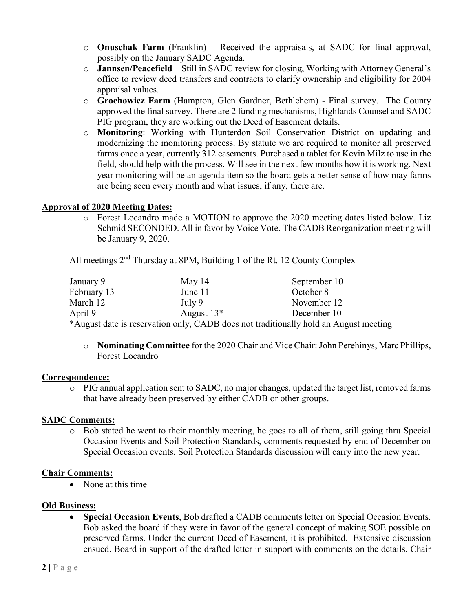- o **Onuschak Farm** (Franklin) Received the appraisals, at SADC for final approval, possibly on the January SADC Agenda.
- o **Jannsen/Peacefield** Still in SADC review for closing, Working with Attorney General's office to review deed transfers and contracts to clarify ownership and eligibility for 2004 appraisal values.
- o **Grochowicz Farm** (Hampton, Glen Gardner, Bethlehem) Final survey. The County approved the final survey. There are 2 funding mechanisms, Highlands Counsel and SADC PIG program, they are working out the Deed of Easement details.
- o **Monitoring**: Working with Hunterdon Soil Conservation District on updating and modernizing the monitoring process. By statute we are required to monitor all preserved farms once a year, currently 312 easements. Purchased a tablet for Kevin Milz to use in the field, should help with the process. Will see in the next few months how it is working. Next year monitoring will be an agenda item so the board gets a better sense of how may farms are being seen every month and what issues, if any, there are.

## **Approval of 2020 Meeting Dates:**

o Forest Locandro made a MOTION to approve the 2020 meeting dates listed below. Liz Schmid SECONDED. All in favor by Voice Vote. The CADB Reorganization meeting will be January 9, 2020.

All meetings 2<sup>nd</sup> Thursday at 8PM, Building 1 of the Rt. 12 County Complex

| January 9   | May $14$     | September 10                                                                         |
|-------------|--------------|--------------------------------------------------------------------------------------|
| February 13 | June 11      | October 8                                                                            |
| March 12    | July 9       | November 12                                                                          |
| April 9     | August $13*$ | December 10                                                                          |
|             |              | *August date is reservation only, CADB does not traditionally hold an August meeting |

o **Nominating Committee** for the 2020 Chair and Vice Chair: John Perehinys, Marc Phillips, Forest Locandro

## **Correspondence:**

 $\circ$  PIG annual application sent to SADC, no major changes, updated the target list, removed farms that have already been preserved by either CADB or other groups.

# **SADC Comments:**

o Bob stated he went to their monthly meeting, he goes to all of them, still going thru Special Occasion Events and Soil Protection Standards, comments requested by end of December on Special Occasion events. Soil Protection Standards discussion will carry into the new year.

# **Chair Comments:**

• None at this time

## **Old Business:**

• **Special Occasion Events**, Bob drafted a CADB comments letter on Special Occasion Events. Bob asked the board if they were in favor of the general concept of making SOE possible on preserved farms. Under the current Deed of Easement, it is prohibited. Extensive discussion ensued. Board in support of the drafted letter in support with comments on the details. Chair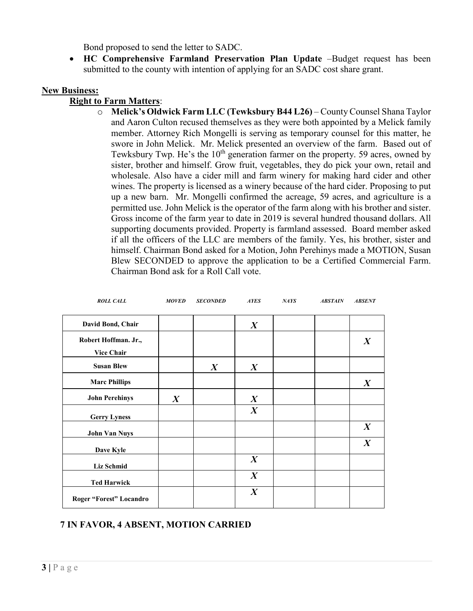Bond proposed to send the letter to SADC.

• **HC Comprehensive Farmland Preservation Plan Update** –Budget request has been submitted to the county with intention of applying for an SADC cost share grant.

## **New Business:**

## **Right to Farm Matters**:

o **Melick's Oldwick Farm LLC (Tewksbury B44 L26)** – County Counsel Shana Taylor and Aaron Culton recused themselves as they were both appointed by a Melick family member. Attorney Rich Mongelli is serving as temporary counsel for this matter, he swore in John Melick. Mr. Melick presented an overview of the farm. Based out of Tewksbury Twp. He's the 10<sup>th</sup> generation farmer on the property. 59 acres, owned by sister, brother and himself. Grow fruit, vegetables, they do pick your own, retail and wholesale. Also have a cider mill and farm winery for making hard cider and other wines. The property is licensed as a winery because of the hard cider. Proposing to put up a new barn. Mr. Mongelli confirmed the acreage, 59 acres, and agriculture is a permitted use. John Melick is the operator of the farm along with his brother and sister. Gross income of the farm year to date in 2019 is several hundred thousand dollars. All supporting documents provided. Property is farmland assessed. Board member asked if all the officers of the LLC are members of the family. Yes, his brother, sister and himself. Chairman Bond asked for a Motion, John Perehinys made a MOTION, Susan Blew SECONDED to approve the application to be a Certified Commercial Farm. Chairman Bond ask for a Roll Call vote.

| <b>ROLL CALL</b>                          | <b>MOVED</b>     | <b>SECONDED</b>  | <b>AYES</b>      | NATS | <b>ABSTAIN</b> | <b>ABSENT</b>    |
|-------------------------------------------|------------------|------------------|------------------|------|----------------|------------------|
| David Bond, Chair                         |                  |                  | $\boldsymbol{X}$ |      |                |                  |
| Robert Hoffman. Jr.,<br><b>Vice Chair</b> |                  |                  |                  |      |                | $\boldsymbol{X}$ |
| <b>Susan Blew</b>                         |                  | $\boldsymbol{X}$ | $\boldsymbol{X}$ |      |                |                  |
| <b>Marc Phillips</b>                      |                  |                  |                  |      |                | $\boldsymbol{X}$ |
| <b>John Perehinys</b>                     | $\boldsymbol{X}$ |                  | $\boldsymbol{X}$ |      |                |                  |
| <b>Gerry Lyness</b>                       |                  |                  | $\boldsymbol{X}$ |      |                |                  |
| <b>John Van Nuys</b>                      |                  |                  |                  |      |                | $\boldsymbol{X}$ |
| Dave Kyle                                 |                  |                  |                  |      |                | $\boldsymbol{X}$ |
| <b>Liz Schmid</b>                         |                  |                  | $\boldsymbol{X}$ |      |                |                  |
| <b>Ted Harwick</b>                        |                  |                  | $\boldsymbol{X}$ |      |                |                  |
| Roger "Forest" Locandro                   |                  |                  | $\boldsymbol{X}$ |      |                |                  |

# **7 IN FAVOR, 4 ABSENT, MOTION CARRIED**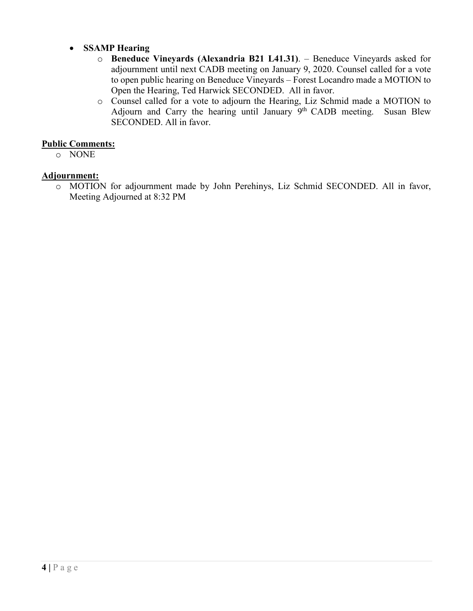- **SSAMP Hearing** 
	- o **Beneduce Vineyards (Alexandria B21 L41.31)**. Beneduce Vineyards asked for adjournment until next CADB meeting on January 9, 2020. Counsel called for a vote to open public hearing on Beneduce Vineyards – Forest Locandro made a MOTION to Open the Hearing, Ted Harwick SECONDED. All in favor.
	- o Counsel called for a vote to adjourn the Hearing, Liz Schmid made a MOTION to Adjourn and Carry the hearing until January  $9<sup>th</sup>$  CADB meeting. Susan Blew SECONDED. All in favor.

# **Public Comments:**

o NONE

# **Adjournment:**

o MOTION for adjournment made by John Perehinys, Liz Schmid SECONDED. All in favor, Meeting Adjourned at 8:32 PM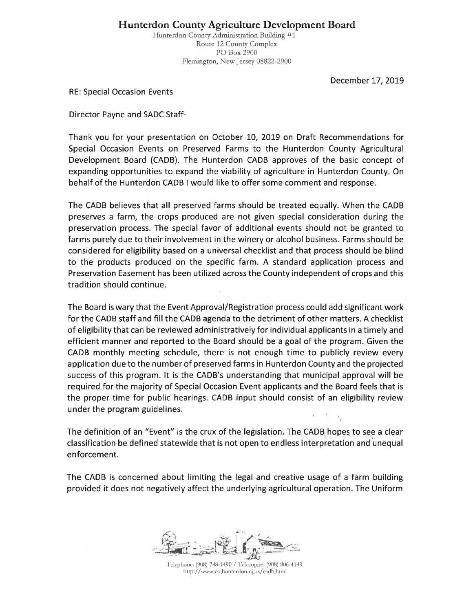**Hunterdon County Agriculture Development Board** 

Hunterdon County Administration Building #1 Route 12 County Complex PO Box 2900 Flemington, New Jersey 08822-2900

December 17, 2019

**RE: Special Occasion Events** 

**Director Payne and SADC Staff-**

Thank you for your presentation on October 10, 2019 on Draft Recommendations for Special Occasion Events on Preserved Farms to the Hunterdon County Agricultural Development Board (CADB). The Hunterdon CADB approves of the basic concept of expanding opportunities to expand the viability of agriculture in Hunterdon County. On behalf of the Hunterdon CADB I would like to offer some comment and response.

The CADB believes that all preserved farms should be treated equally. When the CADB preserves a farm, the crops produced are not given special consideration during the preservation process. The special favor of additional events should not be granted to farms purely due to their involvement in the winery or alcohol business. Farms should be considered for eligibility based on a universal checklist and that process should be blind to the products produced on the specific farm. A standard application process and Preservation Easement has been utilized across the County independent of crops and this tradition should continue.

The Board is wary that the Event Approval/Registration process could add significant work for the CADB staff and fill the CADB agenda to the detriment of other matters. A checklist of eligibility that can be reviewed administratively for individual applicants in a timely and efficient manner and reported to the Board should be a goal of the program. Given the CADB monthly meeting schedule, there is not enough time to publicly review every application due to the number of preserved farms in Hunterdon County and the projected success of this program. It is the CADB's understanding that municipal approval will be required for the majority of Special Occasion Event applicants and the Board feels that is the proper time for public hearings. CADB input should consist of an eligibility review under the program guidelines.

The definition of an "Event" is the crux of the legislation. The CADB hopes to see a clear classification be defined statewide that is not open to endless interpretation and unequal enforcement.

The CADB is concerned about limiting the legal and creative usage of a farm building provided it does not negatively affect the underlying agricultural operation. The Uniform

Telephone: (908) 788-1490 / Telecopier: (908) 806-4149 http://www.co.hunterdon.nj.us/cadb.html